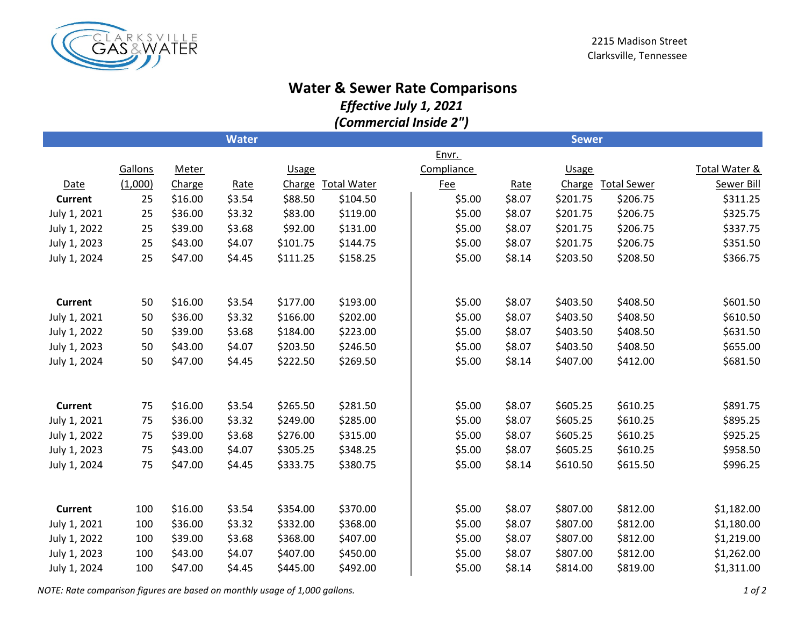

## **Water & Sewer Rate Comparisons**

*Effective July 1, 2021*

*(Commercial Inside 2")*

|                |         |              | <b>Water</b> |              |                    |            |        | <b>Sewer</b> |                    |                   |
|----------------|---------|--------------|--------------|--------------|--------------------|------------|--------|--------------|--------------------|-------------------|
|                |         |              |              |              |                    | Envr.      |        |              |                    |                   |
|                | Gallons | <b>Meter</b> |              | <b>Usage</b> |                    | Compliance |        | <b>Usage</b> |                    | Total Water &     |
| Date           | (1,000) | Charge       | Rate         | Charge       | <b>Total Water</b> | <b>Fee</b> | Rate   | Charge       | <b>Total Sewer</b> | <b>Sewer Bill</b> |
| <b>Current</b> | 25      | \$16.00      | \$3.54       | \$88.50      | \$104.50           | \$5.00     | \$8.07 | \$201.75     | \$206.75           | \$311.25          |
| July 1, 2021   | 25      | \$36.00      | \$3.32       | \$83.00      | \$119.00           | \$5.00     | \$8.07 | \$201.75     | \$206.75           | \$325.75          |
| July 1, 2022   | 25      | \$39.00      | \$3.68       | \$92.00      | \$131.00           | \$5.00     | \$8.07 | \$201.75     | \$206.75           | \$337.75          |
| July 1, 2023   | 25      | \$43.00      | \$4.07       | \$101.75     | \$144.75           | \$5.00     | \$8.07 | \$201.75     | \$206.75           | \$351.50          |
| July 1, 2024   | 25      | \$47.00      | \$4.45       | \$111.25     | \$158.25           | \$5.00     | \$8.14 | \$203.50     | \$208.50           | \$366.75          |
|                |         |              |              |              |                    |            |        |              |                    |                   |
| <b>Current</b> | 50      | \$16.00      | \$3.54       | \$177.00     | \$193.00           | \$5.00     | \$8.07 | \$403.50     | \$408.50           | \$601.50          |
| July 1, 2021   | 50      | \$36.00      | \$3.32       | \$166.00     | \$202.00           | \$5.00     | \$8.07 | \$403.50     | \$408.50           | \$610.50          |
| July 1, 2022   | 50      | \$39.00      | \$3.68       | \$184.00     | \$223.00           | \$5.00     | \$8.07 | \$403.50     | \$408.50           | \$631.50          |
| July 1, 2023   | 50      | \$43.00      | \$4.07       | \$203.50     | \$246.50           | \$5.00     | \$8.07 | \$403.50     | \$408.50           | \$655.00          |
| July 1, 2024   | 50      | \$47.00      | \$4.45       | \$222.50     | \$269.50           | \$5.00     | \$8.14 | \$407.00     | \$412.00           | \$681.50          |
|                |         |              |              |              |                    |            |        |              |                    |                   |
| <b>Current</b> | 75      | \$16.00      | \$3.54       | \$265.50     | \$281.50           | \$5.00     | \$8.07 | \$605.25     | \$610.25           | \$891.75          |
| July 1, 2021   | 75      | \$36.00      | \$3.32       | \$249.00     | \$285.00           | \$5.00     | \$8.07 | \$605.25     | \$610.25           | \$895.25          |
| July 1, 2022   | 75      | \$39.00      | \$3.68       | \$276.00     | \$315.00           | \$5.00     | \$8.07 | \$605.25     | \$610.25           | \$925.25          |
| July 1, 2023   | 75      | \$43.00      | \$4.07       | \$305.25     | \$348.25           | \$5.00     | \$8.07 | \$605.25     | \$610.25           | \$958.50          |
| July 1, 2024   | 75      | \$47.00      | \$4.45       | \$333.75     | \$380.75           | \$5.00     | \$8.14 | \$610.50     | \$615.50           | \$996.25          |
|                |         |              |              |              |                    |            |        |              |                    |                   |
| <b>Current</b> | 100     | \$16.00      | \$3.54       | \$354.00     | \$370.00           | \$5.00     | \$8.07 | \$807.00     | \$812.00           | \$1,182.00        |
| July 1, 2021   | 100     | \$36.00      | \$3.32       | \$332.00     | \$368.00           | \$5.00     | \$8.07 | \$807.00     | \$812.00           | \$1,180.00        |
| July 1, 2022   | 100     | \$39.00      | \$3.68       | \$368.00     | \$407.00           | \$5.00     | \$8.07 | \$807.00     | \$812.00           | \$1,219.00        |
| July 1, 2023   | 100     | \$43.00      | \$4.07       | \$407.00     | \$450.00           | \$5.00     | \$8.07 | \$807.00     | \$812.00           | \$1,262.00        |
| July 1, 2024   | 100     | \$47.00      | \$4.45       | \$445.00     | \$492.00           | \$5.00     | \$8.14 | \$814.00     | \$819.00           | \$1,311.00        |

*NOTE: Rate comparison figures are based on monthly usage of 1,000 gallons. 1 of 2*